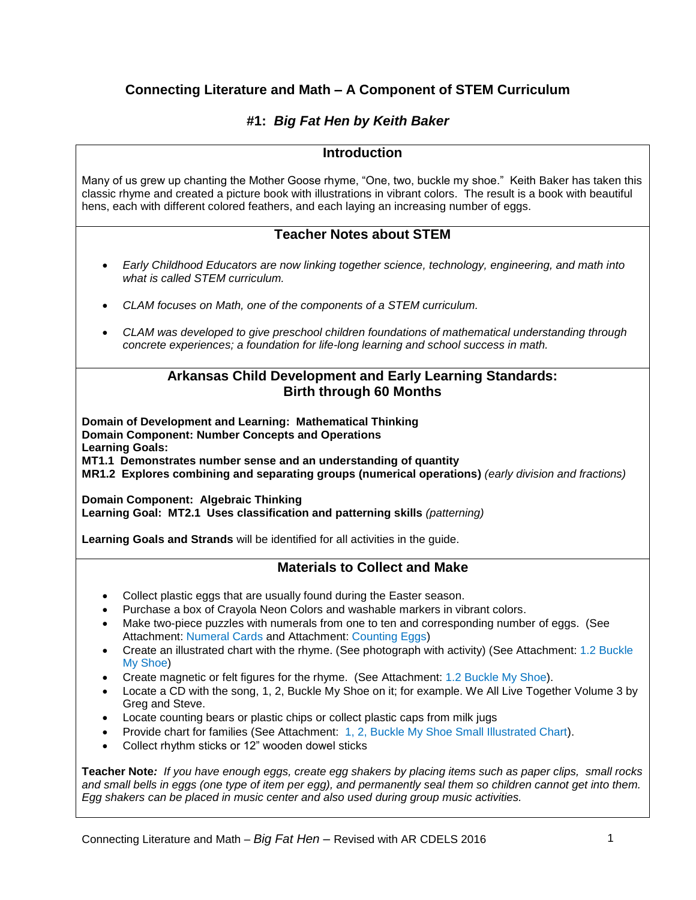# **Connecting Literature and Math – A Component of STEM Curriculum**

# **#1:** *Big Fat Hen by Keith Baker*

## **Introduction**

Many of us grew up chanting the Mother Goose rhyme, "One, two, buckle my shoe." Keith Baker has taken this classic rhyme and created a picture book with illustrations in vibrant colors. The result is a book with beautiful hens, each with different colored feathers, and each laying an increasing number of eggs.

## **Teacher Notes about STEM**

- *Early Childhood Educators are now linking together science, technology, engineering, and math into what is called STEM curriculum.*
- *CLAM focuses on Math, one of the components of a STEM curriculum.*
- *CLAM was developed to give preschool children foundations of mathematical understanding through concrete experiences; a foundation for life-long learning and school success in math.*

## **Arkansas Child Development and Early Learning Standards: Birth through 60 Months**

**Domain of Development and Learning: Mathematical Thinking Domain Component: Number Concepts and Operations Learning Goals: MT1.1 Demonstrates number sense and an understanding of quantity MR1.2 Explores combining and separating groups (numerical operations)** *(early division and fractions)*

**Domain Component: Algebraic Thinking Learning Goal: MT2.1 Uses classification and patterning skills** *(patterning)*

**Learning Goals and Strands** will be identified for all activities in the guide.

# **Materials to Collect and Make**

- Collect plastic eggs that are usually found during the Easter season.
- Purchase a box of Crayola Neon Colors and washable markers in vibrant colors.
- Make two-piece puzzles with numerals from one to ten and corresponding number of eggs. (See Attachment: Numeral Cards and Attachment: Counting Eggs)
- Create an illustrated chart with the rhyme. (See photograph with activity) (See Attachment: 1.2 Buckle My Shoe)
- Create magnetic or felt figures for the rhyme. (See Attachment: 1.2 Buckle My Shoe).
- Locate a CD with the song, 1, 2, Buckle My Shoe on it; for example. We All Live Together Volume 3 by Greg and Steve.
- Locate counting bears or plastic chips or collect plastic caps from milk jugs
- Provide chart for families (See Attachment: 1, 2, Buckle My Shoe Small Illustrated Chart).
- Collect rhythm sticks or 12" wooden dowel sticks

**Teacher Note***: If you have enough eggs, create egg shakers by placing items such as paper clips, small rocks and small bells in eggs (one type of item per egg), and permanently seal them so children cannot get into them. Egg shakers can be placed in music center and also used during group music activities.*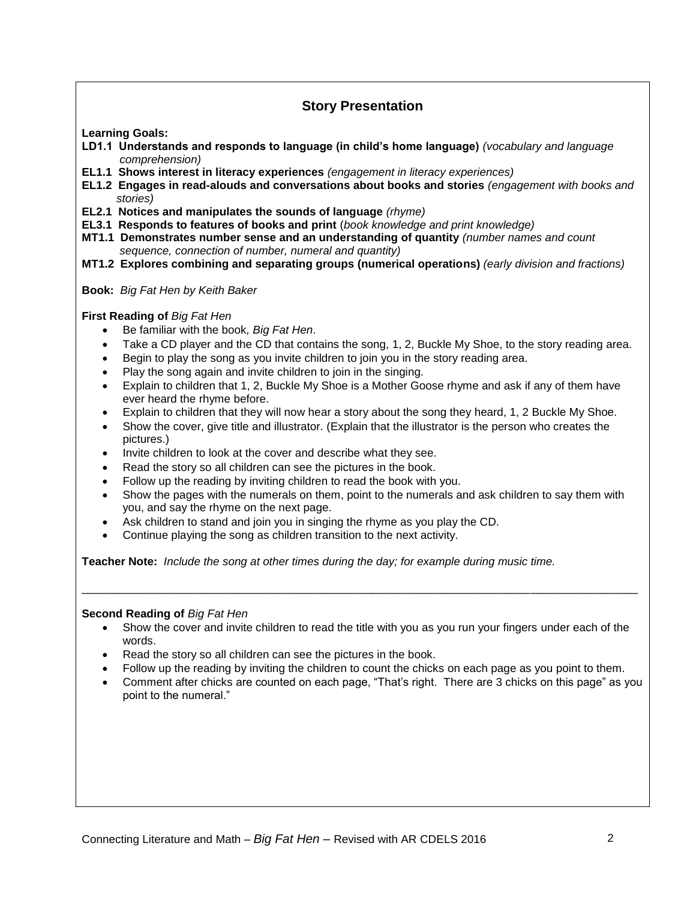# **Story Presentation**

**Learning Goals:**

- **LD1.1 Understands and responds to language (in child's home language)** *(vocabulary and language comprehension)*
- **EL1.1 Shows interest in literacy experiences** *(engagement in literacy experiences)*
- **EL1.2 Engages in read-alouds and conversations about books and stories** *(engagement with books and stories)*
- **EL2.1 Notices and manipulates the sounds of language** *(rhyme)*
- **EL3.1 Responds to features of books and print** (*book knowledge and print knowledge)*
- **MT1.1 Demonstrates number sense and an understanding of quantity** *(number names and count sequence, connection of number, numeral and quantity)*
- **MT1.2 Explores combining and separating groups (numerical operations)** *(early division and fractions)*
- **Book:** *Big Fat Hen by Keith Baker*

**First Reading of** *Big Fat Hen*

- Be familiar with the book*, Big Fat Hen*.
- Take a CD player and the CD that contains the song, 1, 2, Buckle My Shoe, to the story reading area.
- Begin to play the song as you invite children to join you in the story reading area.
- Play the song again and invite children to join in the singing.
- Explain to children that 1, 2, Buckle My Shoe is a Mother Goose rhyme and ask if any of them have ever heard the rhyme before.
- Explain to children that they will now hear a story about the song they heard, 1, 2 Buckle My Shoe.
- Show the cover, give title and illustrator. (Explain that the illustrator is the person who creates the pictures.)
- Invite children to look at the cover and describe what they see.
- Read the story so all children can see the pictures in the book.
- Follow up the reading by inviting children to read the book with you.
- Show the pages with the numerals on them, point to the numerals and ask children to say them with you, and say the rhyme on the next page.
- Ask children to stand and join you in singing the rhyme as you play the CD.
- Continue playing the song as children transition to the next activity.

**Teacher Note:** *Include the song at other times during the day; for example during music time.*

#### **Second Reading of** *Big Fat Hen*

 Show the cover and invite children to read the title with you as you run your fingers under each of the words.

\_\_\_\_\_\_\_\_\_\_\_\_\_\_\_\_\_\_\_\_\_\_\_\_\_\_\_\_\_\_\_\_\_\_\_\_\_\_\_\_\_\_\_\_\_\_\_\_\_\_\_\_\_\_\_\_\_\_\_\_\_\_\_\_\_\_\_\_\_\_\_\_\_\_\_\_\_\_\_\_\_\_\_\_\_\_\_\_

- Read the story so all children can see the pictures in the book.
- Follow up the reading by inviting the children to count the chicks on each page as you point to them.
- Comment after chicks are counted on each page, "That's right. There are 3 chicks on this page" as you point to the numeral."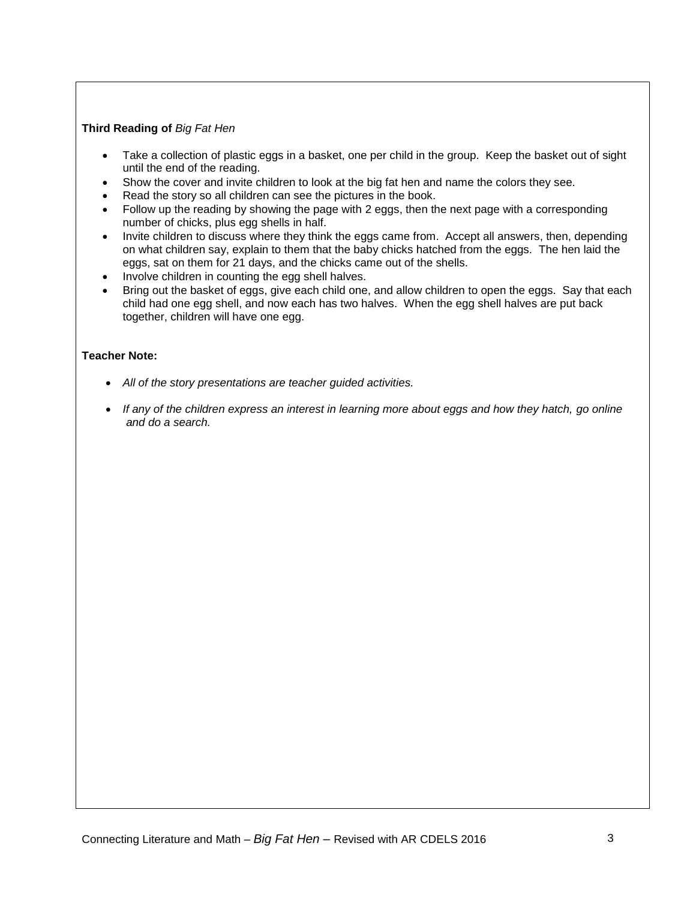### **Third Reading of** *Big Fat Hen*

- Take a collection of plastic eggs in a basket, one per child in the group. Keep the basket out of sight until the end of the reading.
- Show the cover and invite children to look at the big fat hen and name the colors they see.
- Read the story so all children can see the pictures in the book.
- Follow up the reading by showing the page with 2 eggs, then the next page with a corresponding number of chicks, plus egg shells in half.
- Invite children to discuss where they think the eggs came from. Accept all answers, then, depending on what children say, explain to them that the baby chicks hatched from the eggs. The hen laid the eggs, sat on them for 21 days, and the chicks came out of the shells.
- Involve children in counting the egg shell halves.
- Bring out the basket of eggs, give each child one, and allow children to open the eggs. Say that each child had one egg shell, and now each has two halves. When the egg shell halves are put back together, children will have one egg.

### **Teacher Note:**

- *All of the story presentations are teacher guided activities.*
- *If any of the children express an interest in learning more about eggs and how they hatch, go online and do a search.*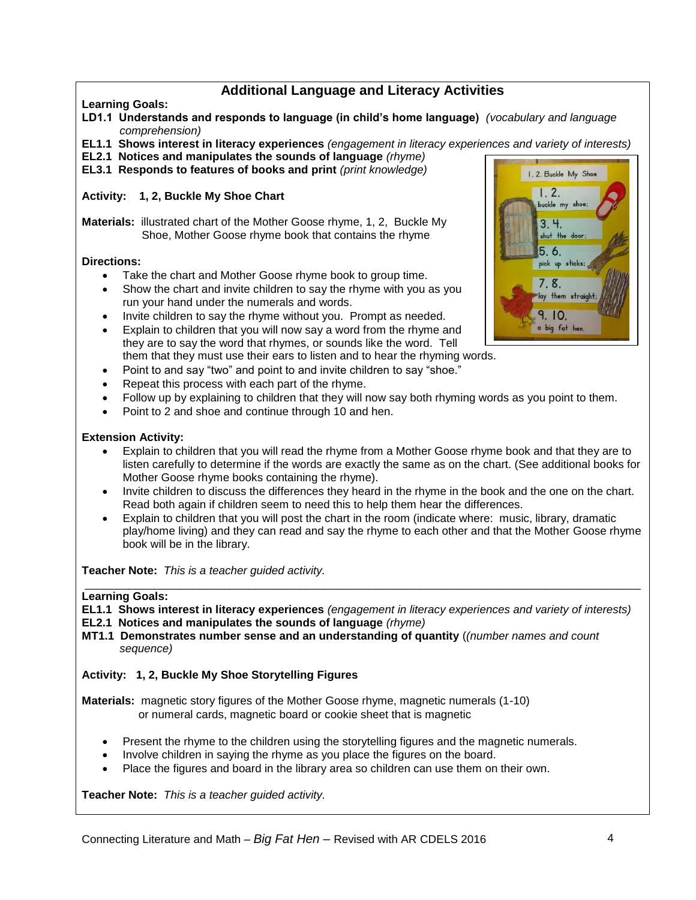# **Additional Language and Literacy Activities**

## **Learning Goals:**

- **LD1.1 Understands and responds to language (in child's home language)** *(vocabulary and language comprehension)*
- **EL1.1 Shows interest in literacy experiences** *(engagement in literacy experiences and variety of interests)*
- **EL2.1 Notices and manipulates the sounds of language** *(rhyme)*
- **EL3.1 Responds to features of books and print** *(print knowledge)*

## **Activity: 1, 2, Buckle My Shoe Chart**

**Materials:** illustrated chart of the Mother Goose rhyme, 1, 2, Buckle My Shoe, Mother Goose rhyme book that contains the rhyme

### **Directions:**

- Take the chart and Mother Goose rhyme book to group time.
- Show the chart and invite children to say the rhyme with you as you run your hand under the numerals and words.
- Invite children to say the rhyme without you. Prompt as needed.
- Explain to children that you will now say a word from the rhyme and they are to say the word that rhymes, or sounds like the word. Tell them that they must use their ears to listen and to hear the rhyming words.
- Point to and say "two" and point to and invite children to say "shoe."
- Repeat this process with each part of the rhyme.
- Follow up by explaining to children that they will now say both rhyming words as you point to them.
- Point to 2 and shoe and continue through 10 and hen.

### **Extension Activity:**

- Explain to children that you will read the rhyme from a Mother Goose rhyme book and that they are to listen carefully to determine if the words are exactly the same as on the chart. (See additional books for Mother Goose rhyme books containing the rhyme).
- Invite children to discuss the differences they heard in the rhyme in the book and the one on the chart. Read both again if children seem to need this to help them hear the differences.
- Explain to children that you will post the chart in the room (indicate where: music, library, dramatic play/home living) and they can read and say the rhyme to each other and that the Mother Goose rhyme book will be in the library.

**Teacher Note:** *This is a teacher guided activity.*

#### **Learning Goals:**

**EL1.1 Shows interest in literacy experiences** *(engagement in literacy experiences and variety of interests)*

\_\_\_\_\_\_\_\_\_\_\_\_\_\_\_\_\_\_\_\_\_\_\_\_\_\_\_\_\_\_\_\_\_\_\_\_\_\_\_\_\_\_\_\_\_\_\_\_\_\_\_\_\_\_\_\_\_\_\_\_\_\_\_\_\_\_\_\_\_\_\_\_\_\_\_\_\_\_\_\_\_\_\_\_\_\_\_\_

- **EL2.1 Notices and manipulates the sounds of language** *(rhyme)*
- **MT1.1 Demonstrates number sense and an understanding of quantity** (*(number names and count sequence)*

**Activity: 1, 2, Buckle My Shoe Storytelling Figures**

**Materials:** magnetic story figures of the Mother Goose rhyme, magnetic numerals (1-10) or numeral cards, magnetic board or cookie sheet that is magnetic

- Present the rhyme to the children using the storytelling figures and the magnetic numerals.
- Involve children in saying the rhyme as you place the figures on the board.
- Place the figures and board in the library area so children can use them on their own.

**Teacher Note:** *This is a teacher guided activity.*

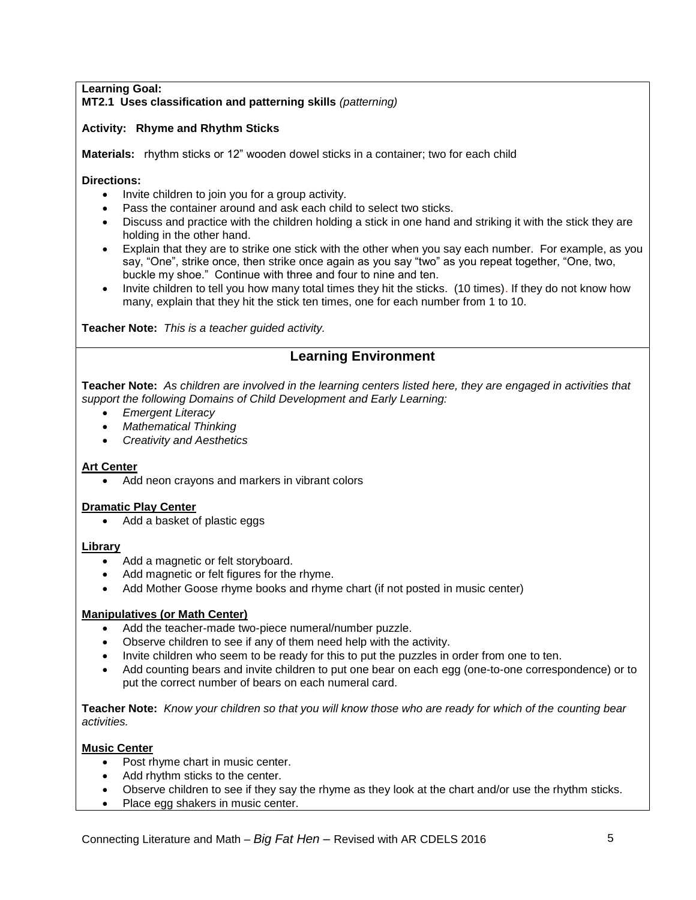### **Learning Goal: MT2.1 Uses classification and patterning skills** *(patterning)*

## **Activity: Rhyme and Rhythm Sticks**

**Materials:** rhythm sticks or 12" wooden dowel sticks in a container; two for each child

### **Directions:**

- Invite children to join you for a group activity.
- Pass the container around and ask each child to select two sticks.
- Discuss and practice with the children holding a stick in one hand and striking it with the stick they are holding in the other hand.
- Explain that they are to strike one stick with the other when you say each number. For example, as you say, "One", strike once, then strike once again as you say "two" as you repeat together, "One, two, buckle my shoe." Continue with three and four to nine and ten.
- Invite children to tell you how many total times they hit the sticks. (10 times). If they do not know how many, explain that they hit the stick ten times, one for each number from 1 to 10.

**Teacher Note:** *This is a teacher guided activity.*

# **Learning Environment**

**Teacher Note:** *As children are involved in the learning centers listed here, they are engaged in activities that support the following Domains of Child Development and Early Learning:*

- *Emergent Literacy*
- *Mathematical Thinking*
- *Creativity and Aesthetics*

### **Art Center**

Add neon crayons and markers in vibrant colors

#### **Dramatic Play Center**

• Add a basket of plastic eggs

#### **Library**

- Add a magnetic or felt storyboard.
- Add magnetic or felt figures for the rhyme.
- Add Mother Goose rhyme books and rhyme chart (if not posted in music center)

### **Manipulatives (or Math Center)**

- Add the teacher-made two-piece numeral/number puzzle.
- Observe children to see if any of them need help with the activity.
- Invite children who seem to be ready for this to put the puzzles in order from one to ten.
- Add counting bears and invite children to put one bear on each egg (one-to-one correspondence) or to put the correct number of bears on each numeral card.

**Teacher Note:** *Know your children so that you will know those who are ready for which of the counting bear activities.*

### **Music Center**

- Post rhyme chart in music center.
- Add rhythm sticks to the center.
- Observe children to see if they say the rhyme as they look at the chart and/or use the rhythm sticks.
- Place egg shakers in music center.